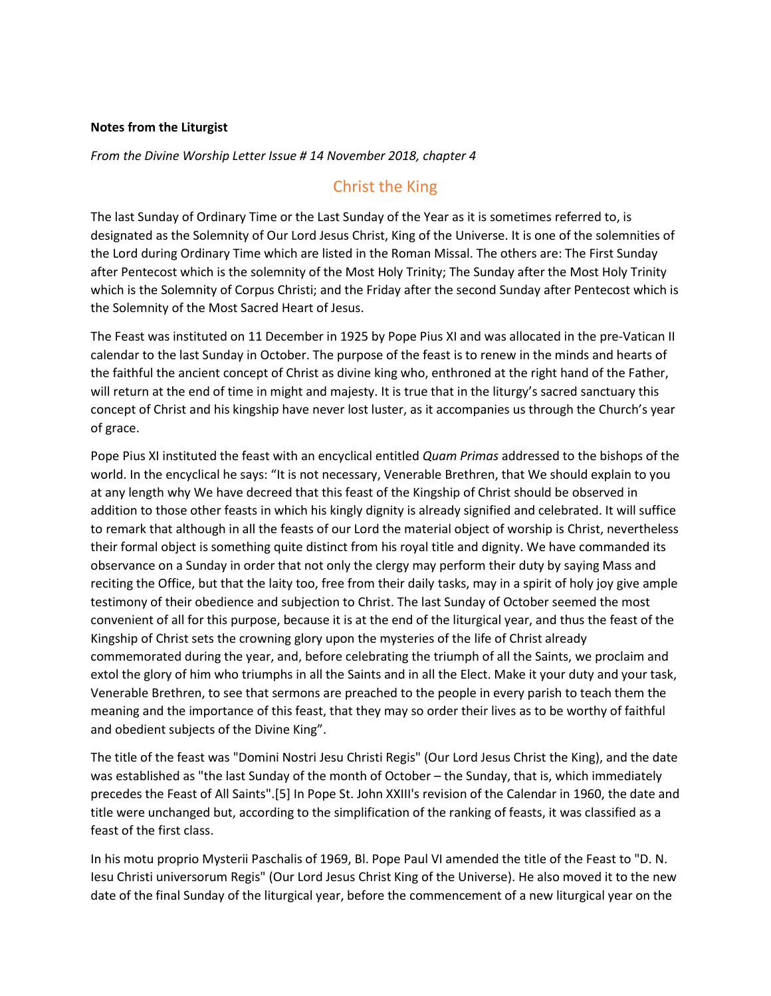## **Notes from the Liturgist**

*From the Divine Worship Letter Issue # 14 November 2018, chapter 4* 

## Christ the King

The last Sunday of Ordinary Time or the Last Sunday of the Year as it is sometimes referred to, is designated as the Solemnity of Our Lord Jesus Christ, King of the Universe. It is one of the solemnities of the Lord during Ordinary Time which are listed in the Roman Missal. The others are: The First Sunday after Pentecost which is the solemnity of the Most Holy Trinity; The Sunday after the Most Holy Trinity which is the Solemnity of Corpus Christi; and the Friday after the second Sunday after Pentecost which is the Solemnity of the Most Sacred Heart of Jesus.

The Feast was instituted on 11 December in 1925 by Pope Pius XI and was allocated in the pre-Vatican II calendar to the last Sunday in October. The purpose of the feast is to renew in the minds and hearts of the faithful the ancient concept of Christ as divine king who, enthroned at the right hand of the Father, will return at the end of time in might and majesty. It is true that in the liturgy's sacred sanctuary this concept of Christ and his kingship have never lost luster, as it accompanies us through the Church's year of grace.

Pope Pius XI instituted the feast with an encyclical entitled *Quam Primas* addressed to the bishops of the world. In the encyclical he says: "It is not necessary, Venerable Brethren, that We should explain to you at any length why We have decreed that this feast of the Kingship of Christ should be observed in addition to those other feasts in which his kingly dignity is already signified and celebrated. It will suffice to remark that although in all the feasts of our Lord the material object of worship is Christ, nevertheless their formal object is something quite distinct from his royal title and dignity. We have commanded its observance on a Sunday in order that not only the clergy may perform their duty by saying Mass and reciting the Office, but that the laity too, free from their daily tasks, may in a spirit of holy joy give ample testimony of their obedience and subjection to Christ. The last Sunday of October seemed the most convenient of all for this purpose, because it is at the end of the liturgical year, and thus the feast of the Kingship of Christ sets the crowning glory upon the mysteries of the life of Christ already commemorated during the year, and, before celebrating the triumph of all the Saints, we proclaim and extol the glory of him who triumphs in all the Saints and in all the Elect. Make it your duty and your task, Venerable Brethren, to see that sermons are preached to the people in every parish to teach them the meaning and the importance of this feast, that they may so order their lives as to be worthy of faithful and obedient subjects of the Divine King".

The title of the feast was "Domini Nostri Jesu Christi Regis" (Our Lord Jesus Christ the King), and the date was established as "the last Sunday of the month of October – the Sunday, that is, which immediately precedes the Feast of All Saints".[5] In Pope St. John XXIII's revision of the Calendar in 1960, the date and title were unchanged but, according to the simplification of the ranking of feasts, it was classified as a feast of the first class.

In his motu proprio Mysterii Paschalis of 1969, Bl. Pope Paul VI amended the title of the Feast to "D. N. Iesu Christi universorum Regis" (Our Lord Jesus Christ King of the Universe). He also moved it to the new date of the final Sunday of the liturgical year, before the commencement of a new liturgical year on the